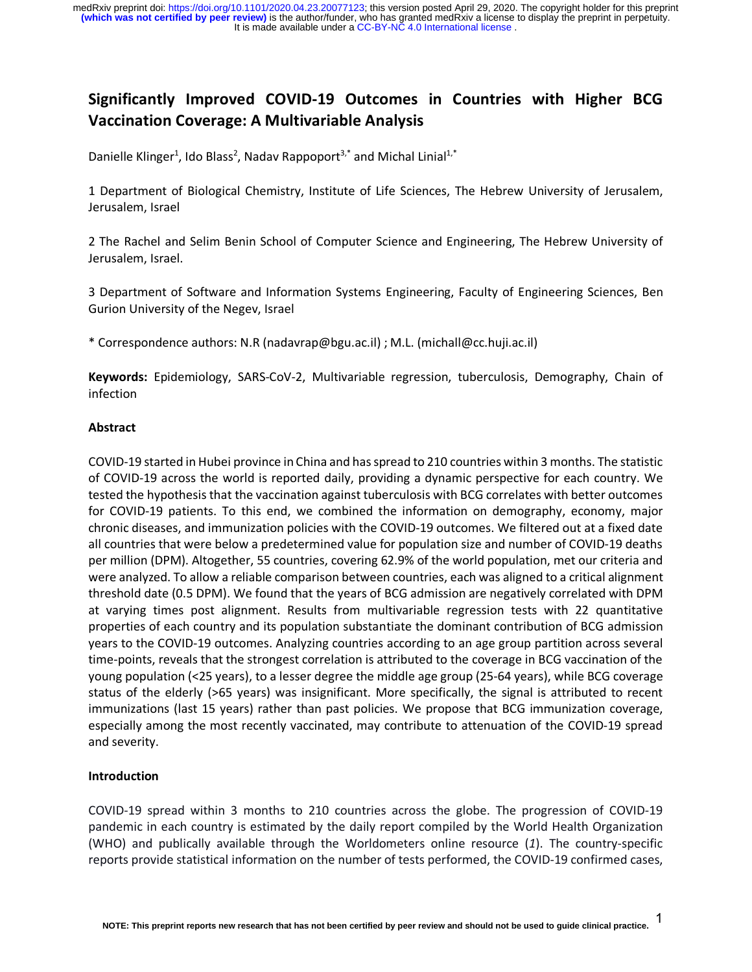It is made available under a CC-BY-NC 4.0 International license. medRxiv preprint doi: [https://doi.org/10.1101/2020.04.23.20077123;](https://doi.org/10.1101/2020.04.23.20077123) this version posted April 29, 2020. The copyright holder for this preprint<br>(which was not certified by peer review) is the author/funder, who has granted m

# **Significantly Improved COVID-19 Outcomes in Countries with Higher BCG Vaccination Coverage: A Multivariable Analysis**

Danielle Klinger<sup>1</sup>, Ido Blass<sup>2</sup>, Nadav Rappoport<sup>3,\*</sup> and Michal Linial<sup>1,\*</sup>

1 Department of Biological Chemistry, Institute of Life Sciences, The Hebrew University of Jerusalem, Jerusalem, Israel

2 The Rachel and Selim Benin School of Computer Science and Engineering, The Hebrew University of Jerusalem, Israel.

3 Department of Software and Information Systems Engineering, Faculty of Engineering Sciences, Ben Gurion University of the Negev, Israel

\* Correspondence authors: N.R (nadavrap@bgu.ac.il) ; M.L. (michall@cc.huji.ac.il)

**Keywords:** Epidemiology, SARS-CoV-2, Multivariable regression, tuberculosis, Demography, Chain of infection

#### **Abstract**

COVID-19 started in Hubei province in China and has spread to 210 countries within 3 months. The statistic of COVID-19 across the world is reported daily, providing a dynamic perspective for each country. We tested the hypothesis that the vaccination against tuberculosis with BCG correlates with better outcomes for COVID-19 patients. To this end, we combined the information on demography, economy, major chronic diseases, and immunization policies with the COVID-19 outcomes. We filtered out at a fixed date all countries that were below a predetermined value for population size and number of COVID-19 deaths per million (DPM). Altogether, 55 countries, covering 62.9% of the world population, met our criteria and were analyzed. To allow a reliable comparison between countries, each was aligned to a critical alignment threshold date (0.5 DPM). We found that the years of BCG admission are negatively correlated with DPM at varying times post alignment. Results from multivariable regression tests with 22 quantitative properties of each country and its population substantiate the dominant contribution of BCG admission years to the COVID-19 outcomes. Analyzing countries according to an age group partition across several time-points, reveals that the strongest correlation is attributed to the coverage in BCG vaccination of the young population (<25 years), to a lesser degree the middle age group (25-64 years), while BCG coverage status of the elderly (>65 years) was insignificant. More specifically, the signal is attributed to recent immunizations (last 15 years) rather than past policies. We propose that BCG immunization coverage, especially among the most recently vaccinated, may contribute to attenuation of the COVID-19 spread and severity.

### **Introduction**

COVID-19 spread within 3 months to 210 countries across the globe. The progression of COVID-19 pandemic in each country is estimated by the daily report compiled by the World Health Organization (WHO) and publically available through the Worldometers online resource (*1*). The country-specific reports provide statistical information on the number of tests performed, the COVID-19 confirmed cases,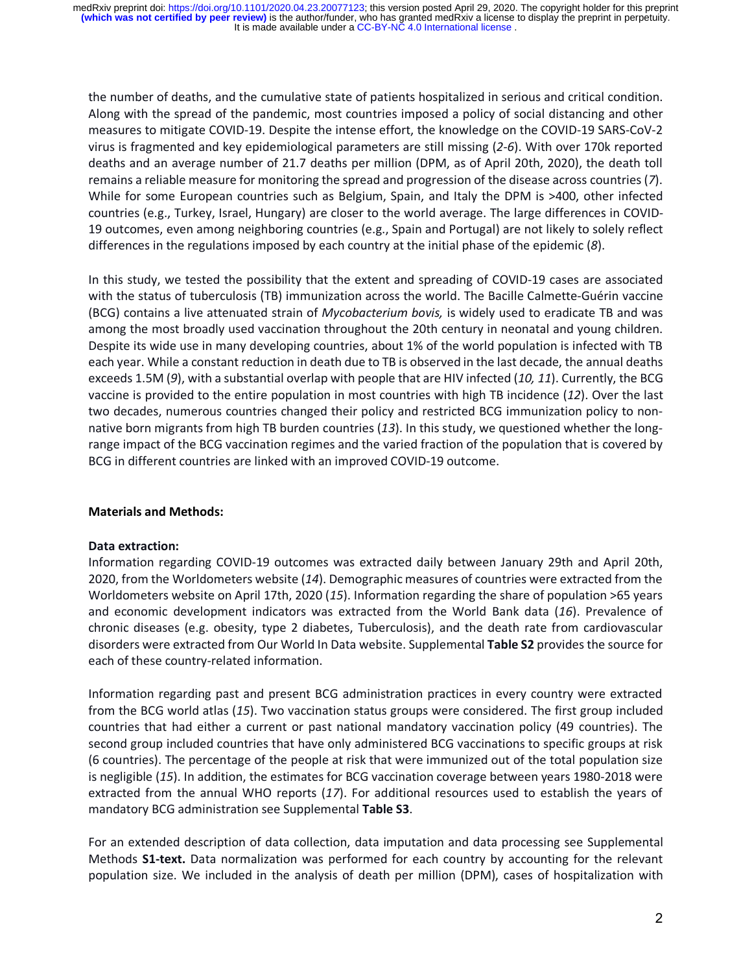the number of deaths, and the cumulative state of patients hospitalized in serious and critical condition. Along with the spread of the pandemic, most countries imposed a policy of social distancing and other measures to mitigate COVID-19. Despite the intense effort, the knowledge on the COVID-19 SARS-CoV-2 virus is fragmented and key epidemiological parameters are still missing (*2-6*). With over 170k reported deaths and an average number of 21.7 deaths per million (DPM, as of April 20th, 2020), the death toll remains a reliable measure for monitoring the spread and progression of the disease across countries (*7*). While for some European countries such as Belgium, Spain, and Italy the DPM is >400, other infected countries (e.g., Turkey, Israel, Hungary) are closer to the world average. The large differences in COVID-19 outcomes, even among neighboring countries (e.g., Spain and Portugal) are not likely to solely reflect differences in the regulations imposed by each country at the initial phase of the epidemic (*8*).

In this study, we tested the possibility that the extent and spreading of COVID-19 cases are associated with the status of tuberculosis (TB) immunization across the world. The Bacille Calmette-Guérin vaccine (BCG) contains a live attenuated strain of *Mycobacterium bovis,* is widely used to eradicate TB and was among the most broadly used vaccination throughout the 20th century in neonatal and young children. Despite its wide use in many developing countries, about 1% of the world population is infected with TB each year. While a constant reduction in death due to TB is observed in the last decade, the annual deaths exceeds 1.5M (*9*), with a substantial overlap with people that are HIV infected (*10, 11*). Currently, the BCG vaccine is provided to the entire population in most countries with high TB incidence (*12*). Over the last two decades, numerous countries changed their policy and restricted BCG immunization policy to nonnative born migrants from high TB burden countries (*13*). In this study, we questioned whether the longrange impact of the BCG vaccination regimes and the varied fraction of the population that is covered by BCG in different countries are linked with an improved COVID-19 outcome.

## **Materials and Methods:**

### **Data extraction:**

Information regarding COVID-19 outcomes was extracted daily between January 29th and April 20th, 2020, from the Worldometers website (*14*). Demographic measures of countries were extracted from the Worldometers website on April 17th, 2020 (*15*). Information regarding the share of population >65 years and economic development indicators was extracted from the World Bank data (*16*). Prevalence of chronic diseases (e.g. obesity, type 2 diabetes, Tuberculosis), and the death rate from cardiovascular disorders were extracted from Our World In Data website. Supplemental **Table S2** provides the source for each of these country-related information.

Information regarding past and present BCG administration practices in every country were extracted from the BCG world atlas (*15*). Two vaccination status groups were considered. The first group included countries that had either a current or past national mandatory vaccination policy (49 countries). The second group included countries that have only administered BCG vaccinations to specific groups at risk (6 countries). The percentage of the people at risk that were immunized out of the total population size is negligible (*15*). In addition, the estimates for BCG vaccination coverage between years 1980-2018 were extracted from the annual WHO reports (*17*). For additional resources used to establish the years of mandatory BCG administration see Supplemental **Table S3**.

For an extended description of data collection, data imputation and data processing see Supplemental Methods **S1-text.** Data normalization was performed for each country by accounting for the relevant population size. We included in the analysis of death per million (DPM), cases of hospitalization with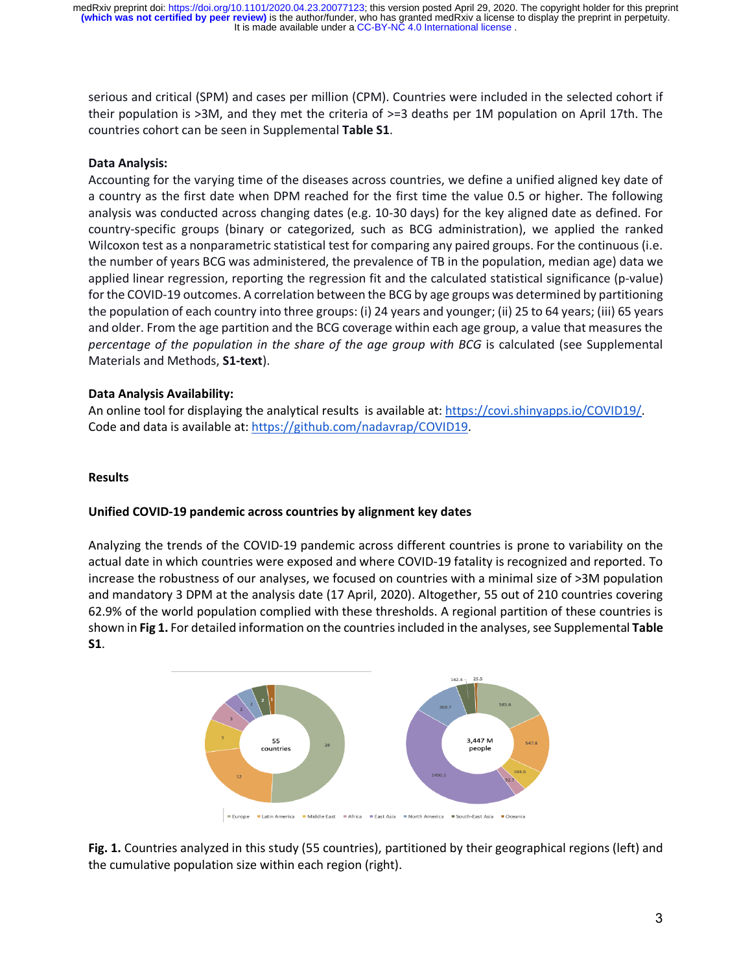serious and critical (SPM) and cases per million (CPM). Countries were included in the selected cohort if their population is >3M, and they met the criteria of >=3 deaths per 1M population on April 17th. The countries cohort can be seen in Supplemental **Table S1**.

## **Data Analysis:**

Accounting for the varying time of the diseases across countries, we define a unified aligned key date of a country as the first date when DPM reached for the first time the value 0.5 or higher. The following analysis was conducted across changing dates (e.g. 10-30 days) for the key aligned date as defined. For country-specific groups (binary or categorized, such as BCG administration), we applied the ranked Wilcoxon test as a nonparametric statistical test for comparing any paired groups. For the continuous (i.e. the number of years BCG was administered, the prevalence of TB in the population, median age) data we applied linear regression, reporting the regression fit and the calculated statistical significance (p-value) for the COVID-19 outcomes. A correlation between the BCG by age groups was determined by partitioning the population of each country into three groups: (i) 24 years and younger; (ii) 25 to 64 years; (iii) 65 years and older. From the age partition and the BCG coverage within each age group, a value that measures the *percentage of the population in the share of the age group with BCG* is calculated (see Supplemental Materials and Methods, **S1-text**).

## **Data Analysis Availability:**

An online tool for displaying the analytical results is available at: https://covi.shinyapps.io/COVID19/. Code and data is available at: https://github.com/nadavrap/COVID19.

### **Results**

### **Unified COVID-19 pandemic across countries by alignment key dates**

Analyzing the trends of the COVID-19 pandemic across different countries is prone to variability on the actual date in which countries were exposed and where COVID-19 fatality is recognized and reported. To increase the robustness of our analyses, we focused on countries with a minimal size of >3M population and mandatory 3 DPM at the analysis date (17 April, 2020). Altogether, 55 out of 210 countries covering 62.9% of the world population complied with these thresholds. A regional partition of these countries is shown in **Fig 1.** For detailed information on the countries included in the analyses, see Supplemental **Table S1**.



**Fig. 1.** Countries analyzed in this study (55 countries), partitioned by their geographical regions (left) and the cumulative population size within each region (right).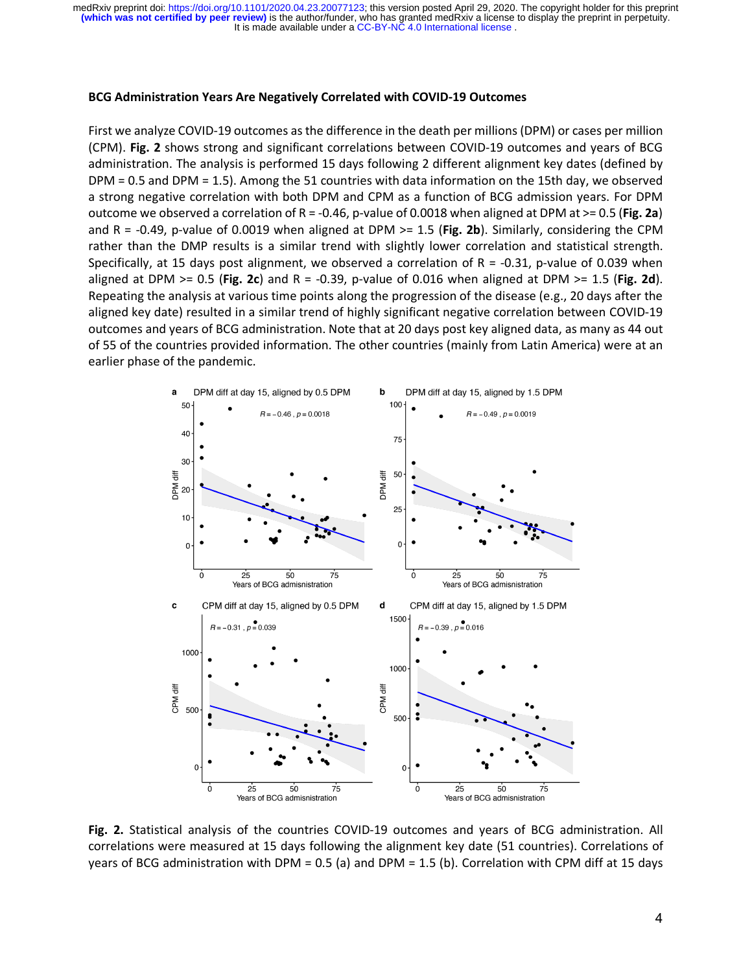#### **BCG Administration Years Are Negatively Correlated with COVID-19 Outcomes**

First we analyze COVID-19 outcomes as the difference in the death per millions (DPM) or cases per million (CPM). **Fig. 2** shows strong and significant correlations between COVID-19 outcomes and years of BCG administration. The analysis is performed 15 days following 2 different alignment key dates (defined by DPM = 0.5 and DPM = 1.5). Among the 51 countries with data information on the 15th day, we observed a strong negative correlation with both DPM and CPM as a function of BCG admission years. For DPM outcome we observed a correlation of R = -0.46, p-value of 0.0018 when aligned at DPM at >= 0.5 (**Fig. 2a**) and R = -0.49, p-value of 0.0019 when aligned at DPM >= 1.5 (**Fig. 2b**). Similarly, considering the CPM rather than the DMP results is a similar trend with slightly lower correlation and statistical strength. Specifically, at 15 days post alignment, we observed a correlation of R = -0.31, p-value of 0.039 when aligned at DPM >= 0.5 (**Fig. 2c**) and R = -0.39, p-value of 0.016 when aligned at DPM >= 1.5 (**Fig. 2d**). Repeating the analysis at various time points along the progression of the disease (e.g., 20 days after the aligned key date) resulted in a similar trend of highly significant negative correlation between COVID-19 outcomes and years of BCG administration. Note that at 20 days post key aligned data, as many as 44 out of 55 of the countries provided information. The other countries (mainly from Latin America) were at an earlier phase of the pandemic.



**Fig. 2.** Statistical analysis of the countries COVID-19 outcomes and years of BCG administration. All correlations were measured at 15 days following the alignment key date (51 countries). Correlations of years of BCG administration with DPM = 0.5 (a) and DPM = 1.5 (b). Correlation with CPM diff at 15 days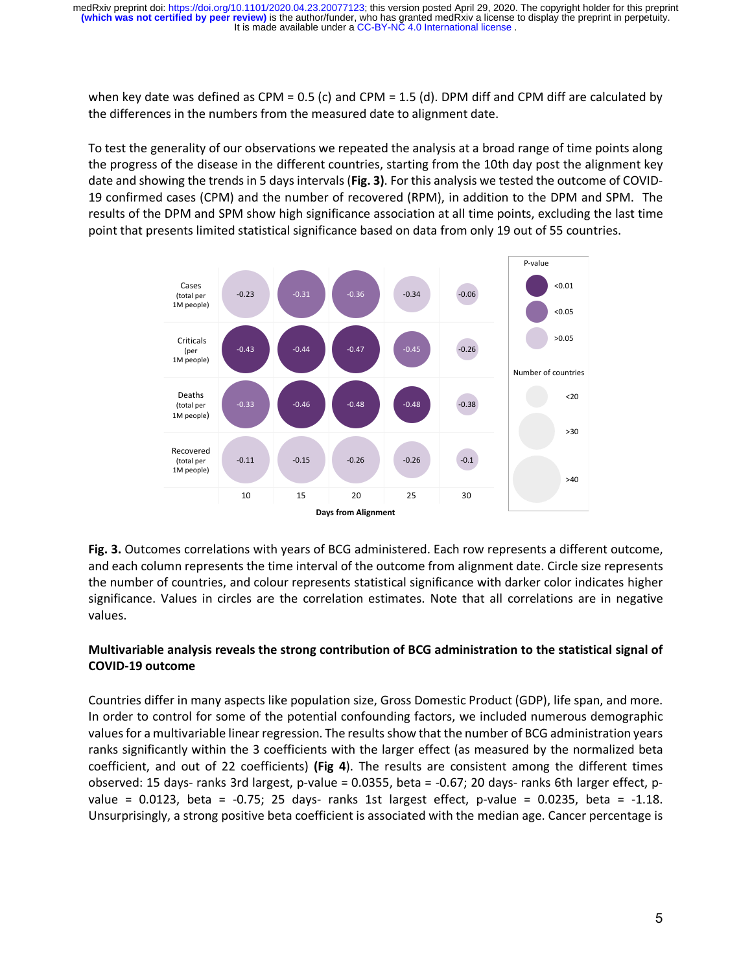when key date was defined as CPM = 0.5 (c) and CPM = 1.5 (d). DPM diff and CPM diff are calculated by the differences in the numbers from the measured date to alignment date.

To test the generality of our observations we repeated the analysis at a broad range of time points along the progress of the disease in the different countries, starting from the 10th day post the alignment key date and showing the trends in 5 days intervals (**Fig. 3)**. For this analysis we tested the outcome of COVID-19 confirmed cases (CPM) and the number of recovered (RPM), in addition to the DPM and SPM. The results of the DPM and SPM show high significance association at all time points, excluding the last time point that presents limited statistical significance based on data from only 19 out of 55 countries.



**Fig. 3.** Outcomes correlations with years of BCG administered. Each row represents a different outcome, and each column represents the time interval of the outcome from alignment date. Circle size represents the number of countries, and colour represents statistical significance with darker color indicates higher significance. Values in circles are the correlation estimates. Note that all correlations are in negative values.

# **Multivariable analysis reveals the strong contribution of BCG administration to the statistical signal of COVID-19 outcome**

Countries differ in many aspects like population size, Gross Domestic Product (GDP), life span, and more. In order to control for some of the potential confounding factors, we included numerous demographic values for a multivariable linear regression. The results show that the number of BCG administration years ranks significantly within the 3 coefficients with the larger effect (as measured by the normalized beta coefficient, and out of 22 coefficients) **(Fig 4**). The results are consistent among the different times observed: 15 days- ranks 3rd largest, p-value = 0.0355, beta = -0.67; 20 days- ranks 6th larger effect, pvalue =  $0.0123$ , beta =  $-0.75$ ; 25 days- ranks 1st largest effect, p-value =  $0.0235$ , beta =  $-1.18$ . Unsurprisingly, a strong positive beta coefficient is associated with the median age. Cancer percentage is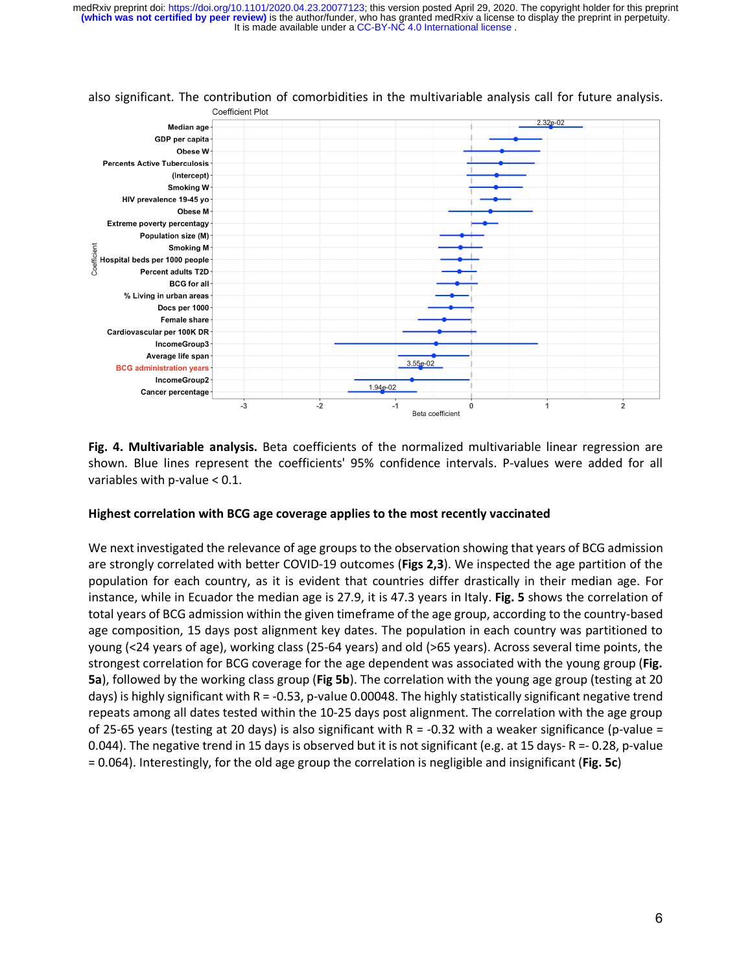

#### also significant. The contribution of comorbidities in the multivariable analysis call for future analysis. Coefficient Plot

**Fig. 4. Multivariable analysis.** Beta coefficients of the normalized multivariable linear regression are shown. Blue lines represent the coefficients' 95% confidence intervals. P-values were added for all variables with p-value < 0.1.

## **Highest correlation with BCG age coverage applies to the most recently vaccinated**

We next investigated the relevance of age groups to the observation showing that years of BCG admission are strongly correlated with better COVID-19 outcomes (**Figs 2,3**). We inspected the age partition of the population for each country, as it is evident that countries differ drastically in their median age. For instance, while in Ecuador the median age is 27.9, it is 47.3 years in Italy. **Fig. 5** shows the correlation of total years of BCG admission within the given timeframe of the age group, according to the country-based age composition, 15 days post alignment key dates. The population in each country was partitioned to young (<24 years of age), working class (25-64 years) and old (>65 years). Across several time points, the strongest correlation for BCG coverage for the age dependent was associated with the young group (**Fig. 5a**), followed by the working class group (**Fig 5b**). The correlation with the young age group (testing at 20 days) is highly significant with  $R = -0.53$ , p-value 0.00048. The highly statistically significant negative trend repeats among all dates tested within the 10-25 days post alignment. The correlation with the age group of 25-65 years (testing at 20 days) is also significant with  $R = -0.32$  with a weaker significance (p-value = 0.044). The negative trend in 15 days is observed but it is not significant (e.g. at 15 days- R =- 0.28, p-value = 0.064). Interestingly, for the old age group the correlation is negligible and insignificant (**Fig. 5c**)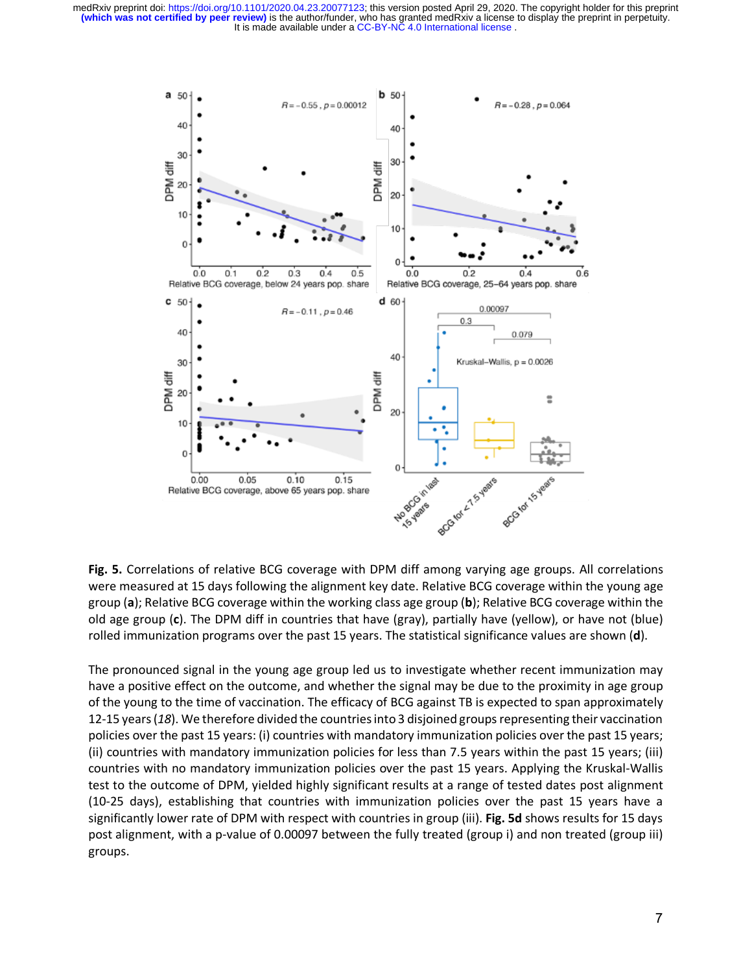

**Fig. 5.** Correlations of relative BCG coverage with DPM diff among varying age groups. All correlations were measured at 15 days following the alignment key date. Relative BCG coverage within the young age group (**a**); Relative BCG coverage within the working class age group (**b**); Relative BCG coverage within the old age group (**c**). The DPM diff in countries that have (gray), partially have (yellow), or have not (blue) rolled immunization programs over the past 15 years. The statistical significance values are shown (**d**).

The pronounced signal in the young age group led us to investigate whether recent immunization may have a positive effect on the outcome, and whether the signal may be due to the proximity in age group of the young to the time of vaccination. The efficacy of BCG against TB is expected to span approximately 12-15 years (*18*). We therefore divided the countries into 3 disjoined groups representing their vaccination policies over the past 15 years: (i) countries with mandatory immunization policies over the past 15 years; (ii) countries with mandatory immunization policies for less than 7.5 years within the past 15 years; (iii) countries with no mandatory immunization policies over the past 15 years. Applying the Kruskal-Wallis test to the outcome of DPM, yielded highly significant results at a range of tested dates post alignment (10-25 days), establishing that countries with immunization policies over the past 15 years have a significantly lower rate of DPM with respect with countries in group (iii). **Fig. 5d** shows results for 15 days post alignment, with a p-value of 0.00097 between the fully treated (group i) and non treated (group iii) groups.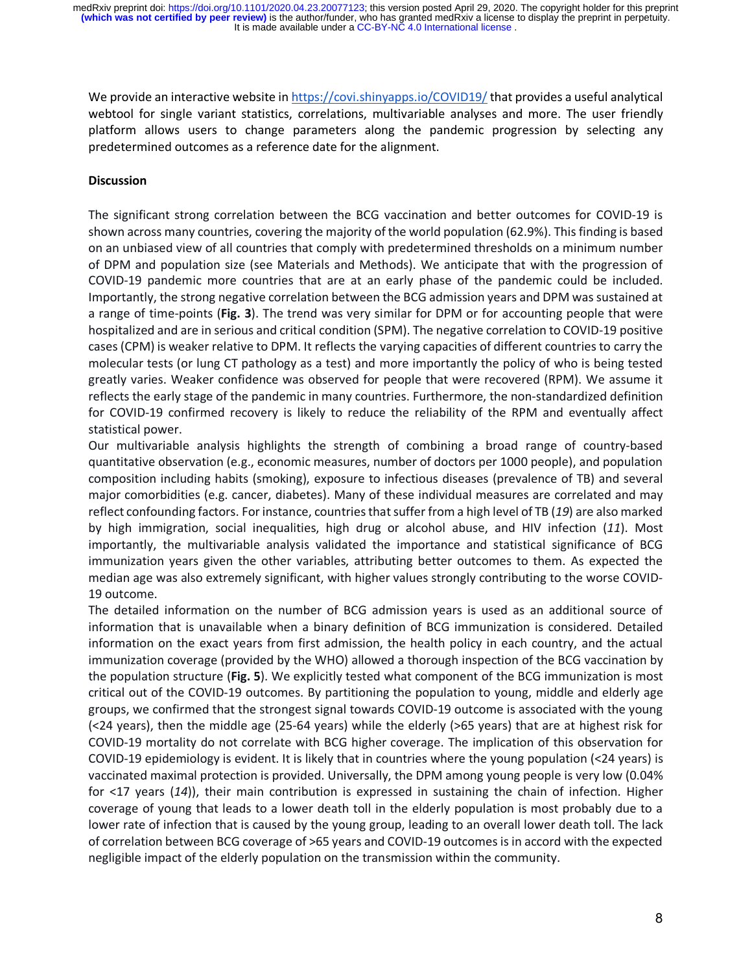We provide an interactive website in https://covi.shinyapps.io/COVID19/ that provides a useful analytical webtool for single variant statistics, correlations, multivariable analyses and more. The user friendly platform allows users to change parameters along the pandemic progression by selecting any predetermined outcomes as a reference date for the alignment.

## **Discussion**

The significant strong correlation between the BCG vaccination and better outcomes for COVID-19 is shown across many countries, covering the majority of the world population (62.9%). This finding is based on an unbiased view of all countries that comply with predetermined thresholds on a minimum number of DPM and population size (see Materials and Methods). We anticipate that with the progression of COVID-19 pandemic more countries that are at an early phase of the pandemic could be included. Importantly, the strong negative correlation between the BCG admission years and DPM was sustained at a range of time-points (**Fig. 3**). The trend was very similar for DPM or for accounting people that were hospitalized and are in serious and critical condition (SPM). The negative correlation to COVID-19 positive cases (CPM) is weaker relative to DPM. It reflects the varying capacities of different countries to carry the molecular tests (or lung CT pathology as a test) and more importantly the policy of who is being tested greatly varies. Weaker confidence was observed for people that were recovered (RPM). We assume it reflects the early stage of the pandemic in many countries. Furthermore, the non-standardized definition for COVID-19 confirmed recovery is likely to reduce the reliability of the RPM and eventually affect statistical power.

Our multivariable analysis highlights the strength of combining a broad range of country-based quantitative observation (e.g., economic measures, number of doctors per 1000 people), and population composition including habits (smoking), exposure to infectious diseases (prevalence of TB) and several major comorbidities (e.g. cancer, diabetes). Many of these individual measures are correlated and may reflect confounding factors. For instance, countries that suffer from a high level of TB (*19*) are also marked by high immigration, social inequalities, high drug or alcohol abuse, and HIV infection (*11*). Most importantly, the multivariable analysis validated the importance and statistical significance of BCG immunization years given the other variables, attributing better outcomes to them. As expected the median age was also extremely significant, with higher values strongly contributing to the worse COVID-19 outcome.

The detailed information on the number of BCG admission years is used as an additional source of information that is unavailable when a binary definition of BCG immunization is considered. Detailed information on the exact years from first admission, the health policy in each country, and the actual immunization coverage (provided by the WHO) allowed a thorough inspection of the BCG vaccination by the population structure (**Fig. 5**). We explicitly tested what component of the BCG immunization is most critical out of the COVID-19 outcomes. By partitioning the population to young, middle and elderly age groups, we confirmed that the strongest signal towards COVID-19 outcome is associated with the young (<24 years), then the middle age (25-64 years) while the elderly (>65 years) that are at highest risk for COVID-19 mortality do not correlate with BCG higher coverage. The implication of this observation for COVID-19 epidemiology is evident. It is likely that in countries where the young population (<24 years) is vaccinated maximal protection is provided. Universally, the DPM among young people is very low (0.04% for <17 years (*14*)), their main contribution is expressed in sustaining the chain of infection. Higher coverage of young that leads to a lower death toll in the elderly population is most probably due to a lower rate of infection that is caused by the young group, leading to an overall lower death toll. The lack of correlation between BCG coverage of >65 years and COVID-19 outcomes is in accord with the expected negligible impact of the elderly population on the transmission within the community.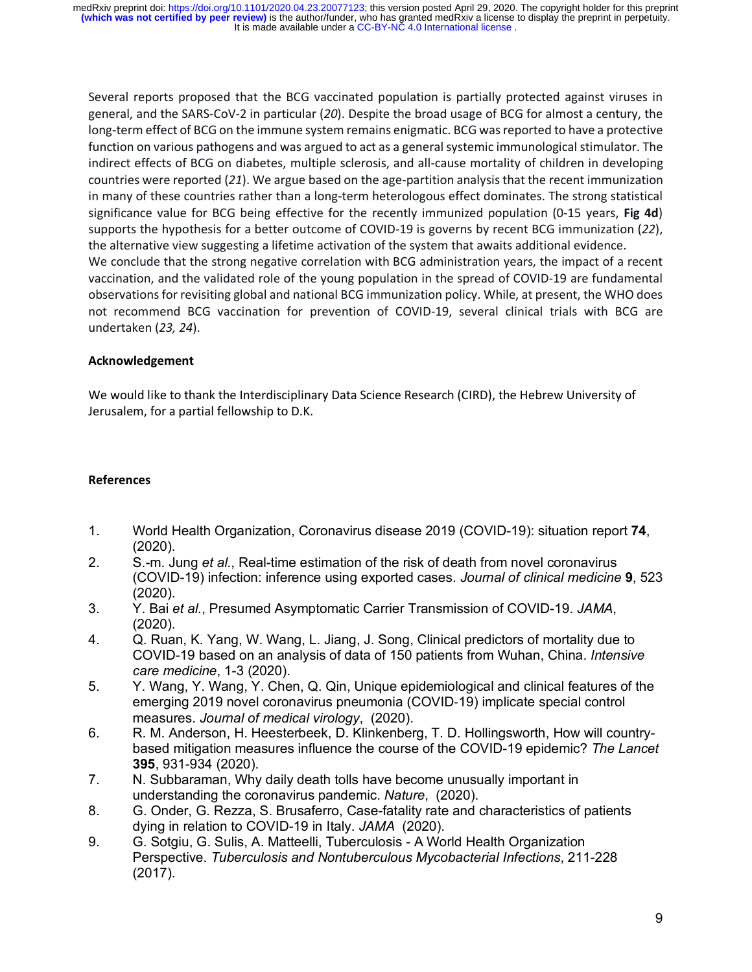Several reports proposed that the BCG vaccinated population is partially protected against viruses in general, and the SARS-CoV-2 in particular (*20*). Despite the broad usage of BCG for almost a century, the long-term effect of BCG on the immune system remains enigmatic. BCG was reported to have a protective function on various pathogens and was argued to act as a general systemic immunological stimulator. The indirect effects of BCG on diabetes, multiple sclerosis, and all-cause mortality of children in developing countries were reported (*21*). We argue based on the age-partition analysis that the recent immunization in many of these countries rather than a long-term heterologous effect dominates. The strong statistical significance value for BCG being effective for the recently immunized population (0-15 years, **Fig 4d**) supports the hypothesis for a better outcome of COVID-19 is governs by recent BCG immunization (*22*), the alternative view suggesting a lifetime activation of the system that awaits additional evidence. We conclude that the strong negative correlation with BCG administration years, the impact of a recent vaccination, and the validated role of the young population in the spread of COVID-19 are fundamental observations for revisiting global and national BCG immunization policy. While, at present, the WHO does not recommend BCG vaccination for prevention of COVID-19, several clinical trials with BCG are undertaken (*23, 24*).

# **Acknowledgement**

We would like to thank the Interdisciplinary Data Science Research (CIRD), the Hebrew University of Jerusalem, for a partial fellowship to D.K.

## **References**

- 1. World Health Organization, Coronavirus disease 2019 (COVID-19): situation report **74**, (2020).
- 2. S.-m. Jung *et al.*, Real-time estimation of the risk of death from novel coronavirus (COVID-19) infection: inference using exported cases. *Journal of clinical medicine* **9**, 523 (2020).
- 3. Y. Bai *et al.*, Presumed Asymptomatic Carrier Transmission of COVID-19. *JAMA*, (2020).
- 4. Q. Ruan, K. Yang, W. Wang, L. Jiang, J. Song, Clinical predictors of mortality due to COVID-19 based on an analysis of data of 150 patients from Wuhan, China. *Intensive care medicine*, 1-3 (2020).
- 5. Y. Wang, Y. Wang, Y. Chen, Q. Qin, Unique epidemiological and clinical features of the emerging 2019 novel coronavirus pneumonia (COVID-19) implicate special control measures. *Journal of medical virology*, (2020).
- 6. R. M. Anderson, H. Heesterbeek, D. Klinkenberg, T. D. Hollingsworth, How will countrybased mitigation measures influence the course of the COVID-19 epidemic? *The Lancet* **395**, 931-934 (2020).
- 7. N. Subbaraman, Why daily death tolls have become unusually important in understanding the coronavirus pandemic. *Nature*, (2020).
- 8. G. Onder, G. Rezza, S. Brusaferro, Case-fatality rate and characteristics of patients dying in relation to COVID-19 in Italy. *JAMA* (2020).
- 9. G. Sotgiu, G. Sulis, A. Matteelli, Tuberculosis A World Health Organization Perspective. *Tuberculosis and Nontuberculous Mycobacterial Infections*, 211-228 (2017).